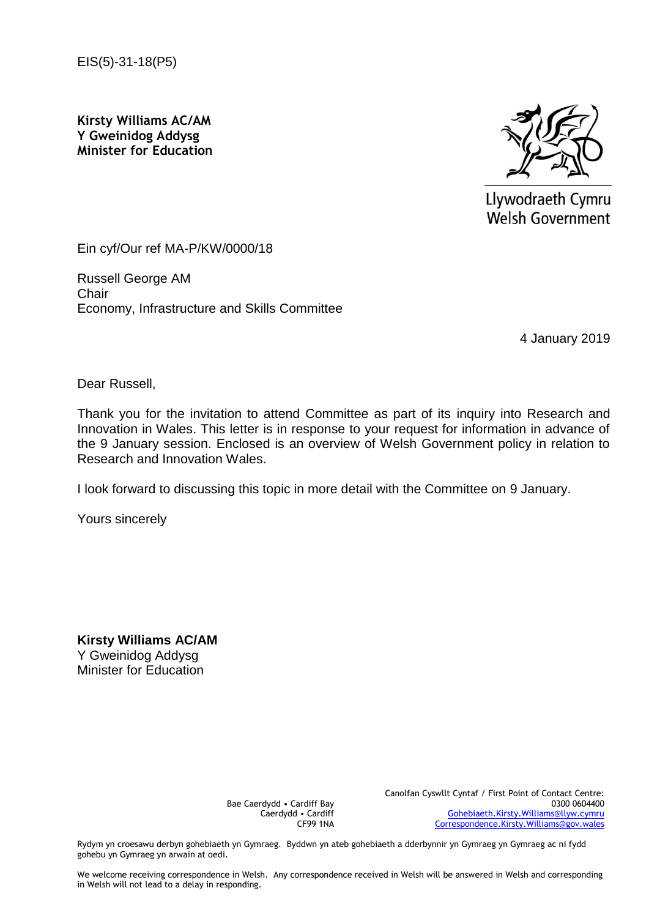EIS(5)-31-18(P5)

**Kirsty Williams AC/AM Y Gweinidog Addysg Minister for Education**



Llywodraeth Cymru **Welsh Government** 

Ein cyf/Our ref MA-P/KW/0000/18

Russell George AM **Chair** Economy, Infrastructure and Skills Committee

4 January 2019

Dear Russell,

Thank you for the invitation to attend Committee as part of its inquiry into Research and Innovation in Wales. This letter is in response to your request for information in advance of the 9 January session. Enclosed is an overview of Welsh Government policy in relation to Research and Innovation Wales.

I look forward to discussing this topic in more detail with the Committee on 9 January.

Yours sincerely

**Kirsty Williams AC/AM** Y Gweinidog Addysg Minister for Education

> Bae Caerdydd • Cardiff Bay Caerdydd • Cardiff CF99 1NA

Canolfan Cyswllt Cyntaf / First Point of Contact Centre: 0300 0604400 [Gohebiaeth.Kirsty.Williams@llyw.cymru](mailto:Gohebiaeth.Kirsty.Williams@llyw.cymru) [Correspondence.Kirsty.Williams@gov.wales](mailto:Correspondence.Kirsty.Williams@gov.wales)

Rydym yn croesawu derbyn gohebiaeth yn Gymraeg. Byddwn yn ateb gohebiaeth a dderbynnir yn Gymraeg yn Gymraeg ac ni fydd gohebu yn Gymraeg yn arwain at oedi.

We welcome receiving correspondence in Welsh. Any correspondence received in Welsh will be answered in Welsh and corresponding in Welsh will not lead to a delay in responding.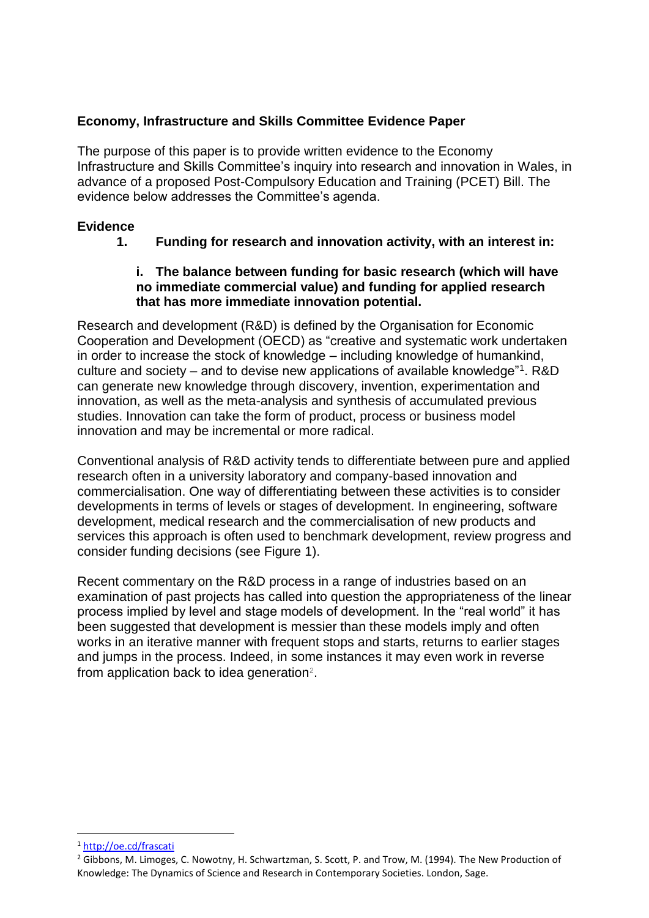## **Economy, Infrastructure and Skills Committee Evidence Paper**

The purpose of this paper is to provide written evidence to the Economy Infrastructure and Skills Committee's inquiry into research and innovation in Wales, in advance of a proposed Post-Compulsory Education and Training (PCET) Bill. The evidence below addresses the Committee's agenda.

### **Evidence**

## **1. Funding for research and innovation activity, with an interest in:**

#### **i. The balance between funding for basic research (which will have no immediate commercial value) and funding for applied research that has more immediate innovation potential.**

Research and development (R&D) is defined by the Organisation for Economic Cooperation and Development (OECD) as "creative and systematic work undertaken in order to increase the stock of knowledge – including knowledge of humankind, culture and society – and to devise new applications of available knowledge"<sup>1</sup>. R&D can generate new knowledge through discovery, invention, experimentation and innovation, as well as the meta-analysis and synthesis of accumulated previous studies. Innovation can take the form of product, process or business model innovation and may be incremental or more radical.

Conventional analysis of R&D activity tends to differentiate between pure and applied research often in a university laboratory and company-based innovation and commercialisation. One way of differentiating between these activities is to consider developments in terms of levels or stages of development. In engineering, software development, medical research and the commercialisation of new products and services this approach is often used to benchmark development, review progress and consider funding decisions (see Figure 1).

Recent commentary on the R&D process in a range of industries based on an examination of past projects has called into question the appropriateness of the linear process implied by level and stage models of development. In the "real world" it has been suggested that development is messier than these models imply and often works in an iterative manner with frequent stops and starts, returns to earlier stages and jumps in the process. Indeed, in some instances it may even work in reverse from application back to idea generation<sup>2</sup>.

<sup>1</sup> <http://oe.cd/frascati>

<sup>&</sup>lt;sup>2</sup> Gibbons, M. Limoges, C. Nowotny, H. Schwartzman, S. Scott, P. and Trow, M. (1994). The New Production of Knowledge: The Dynamics of Science and Research in Contemporary Societies. London, Sage.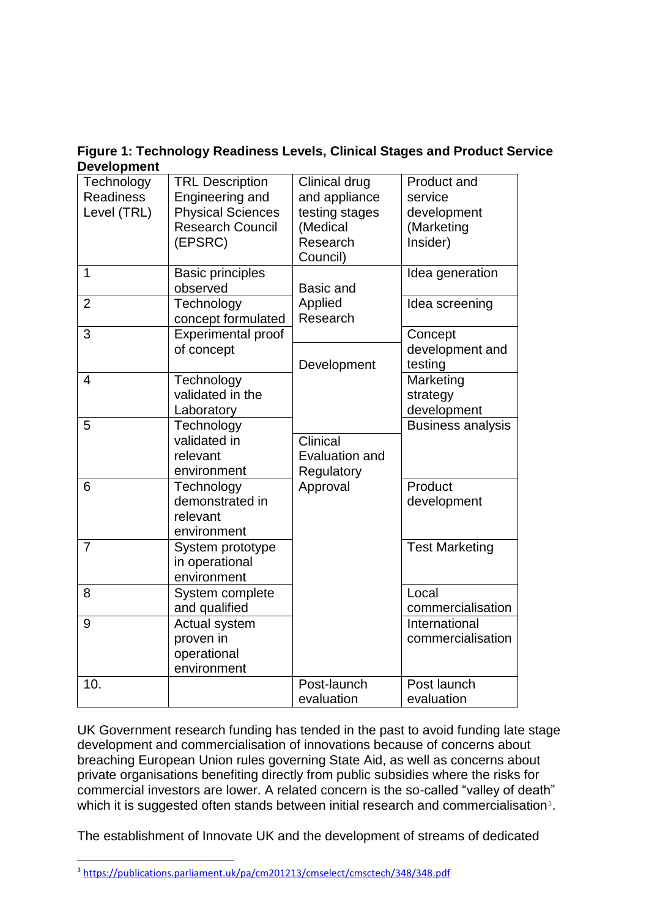**Figure 1: Technology Readiness Levels, Clinical Stages and Product Service Development**

| Technology<br><b>Readiness</b><br>Level (TRL) | <b>TRL Description</b><br>Engineering and<br><b>Physical Sciences</b><br><b>Research Council</b><br>(EPSRC) | Clinical drug<br>and appliance<br>testing stages<br>(Medical<br>Research<br>Council) | Product and<br>service<br>development<br>(Marketing<br>Insider) |
|-----------------------------------------------|-------------------------------------------------------------------------------------------------------------|--------------------------------------------------------------------------------------|-----------------------------------------------------------------|
| $\overline{1}$                                | <b>Basic principles</b><br>observed                                                                         | Basic and                                                                            | Idea generation                                                 |
| $\overline{2}$                                | Technology<br>concept formulated                                                                            | Applied<br>Research                                                                  | Idea screening                                                  |
| 3                                             | <b>Experimental proof</b><br>of concept                                                                     | Development                                                                          | Concept<br>development and<br>testing                           |
| $\overline{4}$                                | Technology<br>validated in the<br>Laboratory                                                                |                                                                                      | Marketing<br>strategy<br>development                            |
| 5                                             | Technology<br>validated in<br>relevant<br>environment                                                       | Clinical<br><b>Evaluation and</b><br>Regulatory                                      | <b>Business analysis</b>                                        |
| 6                                             | Technology<br>demonstrated in<br>relevant<br>environment                                                    | Approval                                                                             | Product<br>development                                          |
| $\overline{7}$                                | System prototype<br>in operational<br>environment                                                           |                                                                                      | <b>Test Marketing</b>                                           |
| 8                                             | System complete<br>and qualified                                                                            |                                                                                      | Local<br>commercialisation                                      |
| 9                                             | Actual system<br>proven in<br>operational<br>environment                                                    |                                                                                      | International<br>commercialisation                              |
| 10.                                           |                                                                                                             | Post-launch<br>evaluation                                                            | Post launch<br>evaluation                                       |

UK Government research funding has tended in the past to avoid funding late stage development and commercialisation of innovations because of concerns about breaching European Union rules governing State Aid, as well as concerns about private organisations benefiting directly from public subsidies where the risks for commercial investors are lower. A related concern is the so-called "valley of death" which it is suggested often stands between initial research and commercialisation<sup>3</sup>.

The establishment of Innovate UK and the development of streams of dedicated

i<br>L

<sup>3</sup> <https://publications.parliament.uk/pa/cm201213/cmselect/cmsctech/348/348.pdf>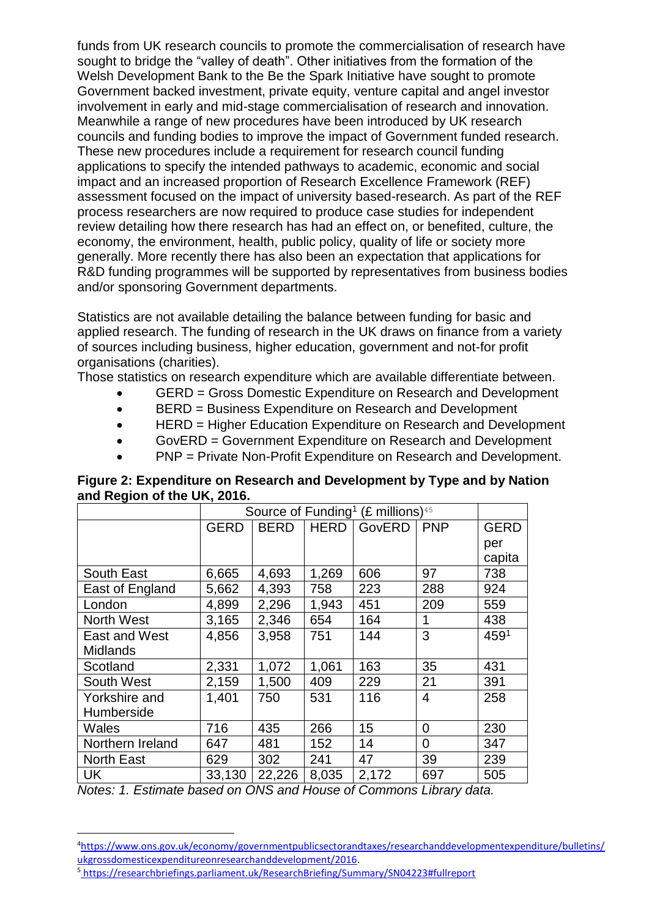funds from UK research councils to promote the commercialisation of research have sought to bridge the "valley of death". Other initiatives from the formation of the Welsh Development Bank to the Be the Spark Initiative have sought to promote Government backed investment, private equity, venture capital and angel investor involvement in early and mid-stage commercialisation of research and innovation. Meanwhile a range of new procedures have been introduced by UK research councils and funding bodies to improve the impact of Government funded research. These new procedures include a requirement for research council funding applications to specify the intended pathways to academic, economic and social impact and an increased proportion of Research Excellence Framework (REF) assessment focused on the impact of university based-research. As part of the REF process researchers are now required to produce case studies for independent review detailing how there research has had an effect on, or benefited, culture, the economy, the environment, health, public policy, quality of life or society more generally. More recently there has also been an expectation that applications for R&D funding programmes will be supported by representatives from business bodies and/or sponsoring Government departments.

Statistics are not available detailing the balance between funding for basic and applied research. The funding of research in the UK draws on finance from a variety of sources including business, higher education, government and not-for profit organisations (charities).

Those statistics on research expenditure which are available differentiate between.

- GERD = Gross Domestic Expenditure on Research and Development
- BERD = Business Expenditure on Research and Development
- HERD = Higher Education Expenditure on Research and Development
- GovERD = Government Expenditure on Research and Development
- PNP = Private Non-Profit Expenditure on Research and Development.

|                   | Source of Funding <sup>1</sup> (£ millions) <sup>45</sup> |             |             |        |                |                  |
|-------------------|-----------------------------------------------------------|-------------|-------------|--------|----------------|------------------|
|                   | <b>GERD</b>                                               | <b>BERD</b> | <b>HERD</b> | GovERD | <b>PNP</b>     | <b>GERD</b>      |
|                   |                                                           |             |             |        |                | per              |
|                   |                                                           |             |             |        |                | capita           |
| South East        | 6,665                                                     | 4,693       | 1,269       | 606    | 97             | 738              |
| East of England   | 5,662                                                     | 4,393       | 758         | 223    | 288            | 924              |
| London            | 4,899                                                     | 2,296       | 1,943       | 451    | 209            | 559              |
| <b>North West</b> | 3,165                                                     | 2,346       | 654         | 164    | 1              | 438              |
| East and West     | 4,856                                                     | 3,958       | 751         | 144    | 3              | 459 <sup>1</sup> |
| <b>Midlands</b>   |                                                           |             |             |        |                |                  |
| Scotland          | 2,331                                                     | 1,072       | 1,061       | 163    | 35             | 431              |
| South West        | 2,159                                                     | 1,500       | 409         | 229    | 21             | 391              |
| Yorkshire and     | 1,401                                                     | 750         | 531         | 116    | $\overline{4}$ | 258              |
| Humberside        |                                                           |             |             |        |                |                  |
| Wales             | 716                                                       | 435         | 266         | 15     | $\Omega$       | 230              |
| Northern Ireland  | 647                                                       | 481         | 152         | 14     | $\Omega$       | 347              |
| <b>North East</b> | 629                                                       | 302         | 241         | 47     | 39             | 239              |
| UK                | 33,130                                                    | 22,226      | 8,035       | 2,172  | 697            | 505              |

**Figure 2: Expenditure on Research and Development by Type and by Nation and Region of the UK, 2016.**

*Notes: 1. Estimate based on ONS and House of Commons Library data.*

<sup>4</sup>[https://www.ons.gov.uk/economy/governmentpublicsectorandtaxes/researchanddevelopmentexpenditure/bulletins/](https://www.ons.gov.uk/economy/governmentpublicsectorandtaxes/researchanddevelopmentexpenditure/bulletins/ukgrossdomesticexpenditureonresearchanddevelopment/2016) [ukgrossdomesticexpenditureonresearchanddevelopment/2016.](https://www.ons.gov.uk/economy/governmentpublicsectorandtaxes/researchanddevelopmentexpenditure/bulletins/ukgrossdomesticexpenditureonresearchanddevelopment/2016)

<sup>5</sup> <https://researchbriefings.parliament.uk/ResearchBriefing/Summary/SN04223#fullreport>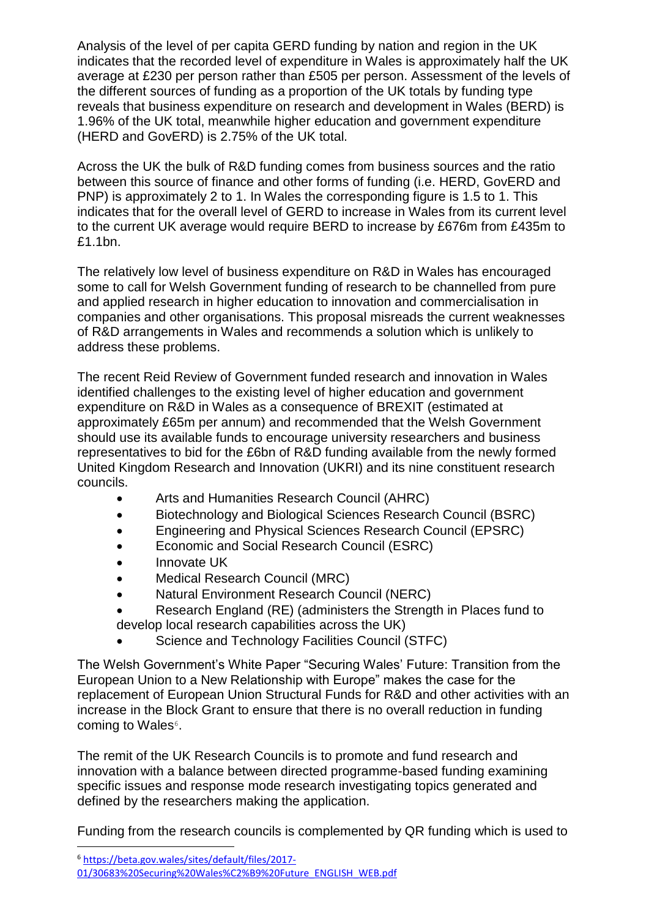Analysis of the level of per capita GERD funding by nation and region in the UK indicates that the recorded level of expenditure in Wales is approximately half the UK average at £230 per person rather than £505 per person. Assessment of the levels of the different sources of funding as a proportion of the UK totals by funding type reveals that business expenditure on research and development in Wales (BERD) is 1.96% of the UK total, meanwhile higher education and government expenditure (HERD and GovERD) is 2.75% of the UK total.

Across the UK the bulk of R&D funding comes from business sources and the ratio between this source of finance and other forms of funding (i.e. HERD, GovERD and PNP) is approximately 2 to 1. In Wales the corresponding figure is 1.5 to 1. This indicates that for the overall level of GERD to increase in Wales from its current level to the current UK average would require BERD to increase by £676m from £435m to £1.1bn.

The relatively low level of business expenditure on R&D in Wales has encouraged some to call for Welsh Government funding of research to be channelled from pure and applied research in higher education to innovation and commercialisation in companies and other organisations. This proposal misreads the current weaknesses of R&D arrangements in Wales and recommends a solution which is unlikely to address these problems.

The recent Reid Review of Government funded research and innovation in Wales identified challenges to the existing level of higher education and government expenditure on R&D in Wales as a consequence of BREXIT (estimated at approximately £65m per annum) and recommended that the Welsh Government should use its available funds to encourage university researchers and business representatives to bid for the £6bn of R&D funding available from the newly formed United Kingdom Research and Innovation (UKRI) and its nine constituent research councils.

- Arts and Humanities Research Council (AHRC)
- Biotechnology and Biological Sciences Research Council (BSRC)
- Engineering and Physical Sciences Research Council (EPSRC)
- **Economic and Social Research Council (ESRC)**
- Innovate UK
- Medical Research Council (MRC)
- Natural Environment Research Council (NERC)
- Research England (RE) (administers the Strength in Places fund to develop local research capabilities across the UK)
- Science and Technology Facilities Council (STFC)

The Welsh Government's White Paper "Securing Wales' Future: Transition from the European Union to a New Relationship with Europe" makes the case for the replacement of European Union Structural Funds for R&D and other activities with an increase in the Block Grant to ensure that there is no overall reduction in funding coming to Wales<sup>6</sup>.

The remit of the UK Research Councils is to promote and fund research and innovation with a balance between directed programme-based funding examining specific issues and response mode research investigating topics generated and defined by the researchers making the application.

Funding from the research councils is complemented by QR funding which is used to

<sup>6</sup> [https://beta.gov.wales/sites/default/files/2017-](https://beta.gov.wales/sites/default/files/2017-01/30683%20Securing%20Wales%C2%B9%20Future_ENGLISH_WEB.pdf)

[<sup>01/30683%20</sup>Securing%20Wales%C2%B9%20Future\\_ENGLISH\\_WEB.pdf](https://beta.gov.wales/sites/default/files/2017-01/30683%20Securing%20Wales%C2%B9%20Future_ENGLISH_WEB.pdf)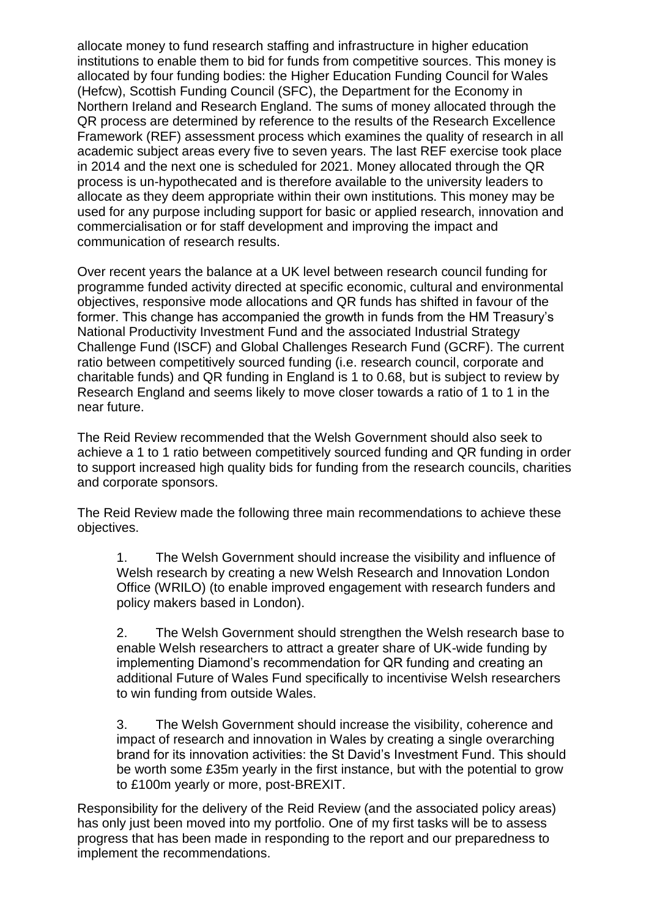allocate money to fund research staffing and infrastructure in higher education institutions to enable them to bid for funds from competitive sources. This money is allocated by four funding bodies: the Higher Education Funding Council for Wales (Hefcw), Scottish Funding Council (SFC), the Department for the Economy in Northern Ireland and Research England. The sums of money allocated through the QR process are determined by reference to the results of the Research Excellence Framework (REF) assessment process which examines the quality of research in all academic subject areas every five to seven years. The last REF exercise took place in 2014 and the next one is scheduled for 2021. Money allocated through the QR process is un-hypothecated and is therefore available to the university leaders to allocate as they deem appropriate within their own institutions. This money may be used for any purpose including support for basic or applied research, innovation and commercialisation or for staff development and improving the impact and communication of research results.

Over recent years the balance at a UK level between research council funding for programme funded activity directed at specific economic, cultural and environmental objectives, responsive mode allocations and QR funds has shifted in favour of the former. This change has accompanied the growth in funds from the HM Treasury's National Productivity Investment Fund and the associated Industrial Strategy Challenge Fund (ISCF) and Global Challenges Research Fund (GCRF). The current ratio between competitively sourced funding (i.e. research council, corporate and charitable funds) and QR funding in England is 1 to 0.68, but is subject to review by Research England and seems likely to move closer towards a ratio of 1 to 1 in the near future.

The Reid Review recommended that the Welsh Government should also seek to achieve a 1 to 1 ratio between competitively sourced funding and QR funding in order to support increased high quality bids for funding from the research councils, charities and corporate sponsors.

The Reid Review made the following three main recommendations to achieve these objectives.

1. The Welsh Government should increase the visibility and influence of Welsh research by creating a new Welsh Research and Innovation London Office (WRILO) (to enable improved engagement with research funders and policy makers based in London).

2. The Welsh Government should strengthen the Welsh research base to enable Welsh researchers to attract a greater share of UK-wide funding by implementing Diamond's recommendation for QR funding and creating an additional Future of Wales Fund specifically to incentivise Welsh researchers to win funding from outside Wales.

3. The Welsh Government should increase the visibility, coherence and impact of research and innovation in Wales by creating a single overarching brand for its innovation activities: the St David's Investment Fund. This should be worth some £35m yearly in the first instance, but with the potential to grow to £100m yearly or more, post-BREXIT.

Responsibility for the delivery of the Reid Review (and the associated policy areas) has only just been moved into my portfolio. One of my first tasks will be to assess progress that has been made in responding to the report and our preparedness to implement the recommendations.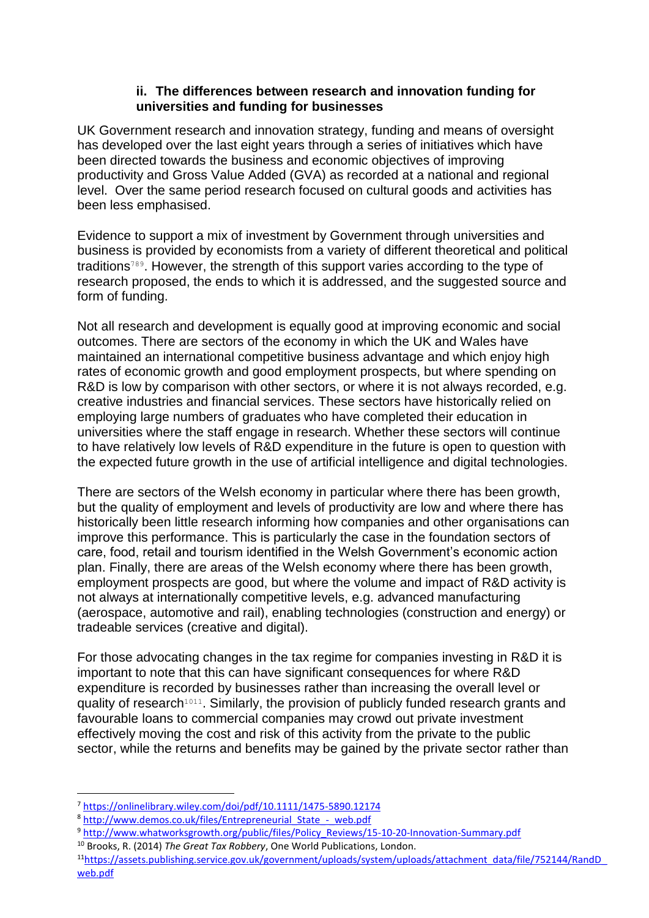#### **ii. The differences between research and innovation funding for universities and funding for businesses**

UK Government research and innovation strategy, funding and means of oversight has developed over the last eight years through a series of initiatives which have been directed towards the business and economic objectives of improving productivity and Gross Value Added (GVA) as recorded at a national and regional level. Over the same period research focused on cultural goods and activities has been less emphasised.

Evidence to support a mix of investment by Government through universities and business is provided by economists from a variety of different theoretical and political traditions<sup>789</sup>. However, the strength of this support varies according to the type of research proposed, the ends to which it is addressed, and the suggested source and form of funding.

Not all research and development is equally good at improving economic and social outcomes. There are sectors of the economy in which the UK and Wales have maintained an international competitive business advantage and which enjoy high rates of economic growth and good employment prospects, but where spending on R&D is low by comparison with other sectors, or where it is not always recorded, e.g. creative industries and financial services. These sectors have historically relied on employing large numbers of graduates who have completed their education in universities where the staff engage in research. Whether these sectors will continue to have relatively low levels of R&D expenditure in the future is open to question with the expected future growth in the use of artificial intelligence and digital technologies.

There are sectors of the Welsh economy in particular where there has been growth, but the quality of employment and levels of productivity are low and where there has historically been little research informing how companies and other organisations can improve this performance. This is particularly the case in the foundation sectors of care, food, retail and tourism identified in the Welsh Government's economic action plan. Finally, there are areas of the Welsh economy where there has been growth, employment prospects are good, but where the volume and impact of R&D activity is not always at internationally competitive levels, e.g. advanced manufacturing (aerospace, automotive and rail), enabling technologies (construction and energy) or tradeable services (creative and digital).

For those advocating changes in the tax regime for companies investing in R&D it is important to note that this can have significant consequences for where R&D expenditure is recorded by businesses rather than increasing the overall level or quality of research<sup>1011</sup>. Similarly, the provision of publicly funded research grants and favourable loans to commercial companies may crowd out private investment effectively moving the cost and risk of this activity from the private to the public sector, while the returns and benefits may be gained by the private sector rather than

i<br>L

<sup>7</sup> <https://onlinelibrary.wiley.com/doi/pdf/10.1111/1475-5890.12174>

<sup>&</sup>lt;sup>8</sup> [http://www.demos.co.uk/files/Entrepreneurial\\_State\\_-\\_web.pdf](http://www.demos.co.uk/files/Entrepreneurial_State_-_web.pdf)

<sup>9</sup> [http://www.whatworksgrowth.org/public/files/Policy\\_Reviews/15-10-20-Innovation-Summary.pdf](http://www.whatworksgrowth.org/public/files/Policy_Reviews/15-10-20-Innovation-Summary.pdf)

<sup>10</sup> Brooks, R. (2014) *The Great Tax Robbery*, One World Publications, London.

<sup>11</sup>[https://assets.publishing.service.gov.uk/government/uploads/system/uploads/attachment\\_data/file/752144/RandD\\_](https://assets.publishing.service.gov.uk/government/uploads/system/uploads/attachment_data/file/752144/RandD_web.pdf) [web.pdf](https://assets.publishing.service.gov.uk/government/uploads/system/uploads/attachment_data/file/752144/RandD_web.pdf)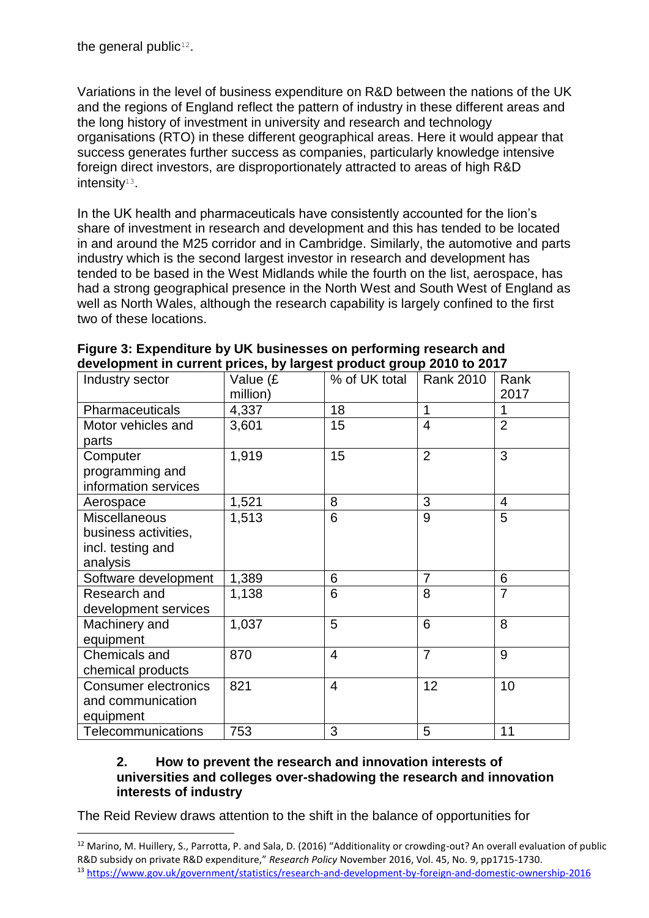ı

Variations in the level of business expenditure on R&D between the nations of the UK and the regions of England reflect the pattern of industry in these different areas and the long history of investment in university and research and technology organisations (RTO) in these different geographical areas. Here it would appear that success generates further success as companies, particularly knowledge intensive foreign direct investors, are disproportionately attracted to areas of high R&D intensity<sup>13</sup>.

In the UK health and pharmaceuticals have consistently accounted for the lion's share of investment in research and development and this has tended to be located in and around the M25 corridor and in Cambridge. Similarly, the automotive and parts industry which is the second largest investor in research and development has tended to be based in the West Midlands while the fourth on the list, aerospace, has had a strong geographical presence in the North West and South West of England as well as North Wales, although the research capability is largely confined to the first two of these locations.

| advoidpriferit in dan dit priodo; by iargoot product group Lord to Lori |          |                |                |                |
|-------------------------------------------------------------------------|----------|----------------|----------------|----------------|
| Industry sector                                                         | Value (£ | % of UK total  | Rank 2010      | Rank           |
|                                                                         | million) |                |                | 2017           |
| Pharmaceuticals                                                         | 4,337    | 18             | 1              | 1              |
| Motor vehicles and                                                      | 3,601    | 15             | 4              | $\overline{2}$ |
| parts                                                                   |          |                |                |                |
| Computer                                                                | 1,919    | 15             | $\overline{2}$ | 3              |
| programming and                                                         |          |                |                |                |
| information services                                                    |          |                |                |                |
| Aerospace                                                               | 1,521    | 8              | 3              | $\overline{4}$ |
| <b>Miscellaneous</b>                                                    | 1,513    | 6              | 9              | 5              |
| business activities,                                                    |          |                |                |                |
| incl. testing and                                                       |          |                |                |                |
| analysis                                                                |          |                |                |                |
| Software development                                                    | 1,389    | 6              | 7              | 6              |
| Research and                                                            | 1,138    | 6              | 8              | $\overline{7}$ |
| development services                                                    |          |                |                |                |
| Machinery and                                                           | 1,037    | 5              | 6              | 8              |
| equipment                                                               |          |                |                |                |
| <b>Chemicals and</b>                                                    | 870      | $\overline{4}$ | $\overline{7}$ | 9              |
| chemical products                                                       |          |                |                |                |
| <b>Consumer electronics</b>                                             | 821      | $\overline{4}$ | 12             | 10             |
| and communication                                                       |          |                |                |                |
| equipment                                                               |          |                |                |                |
| Telecommunications                                                      | 753      | 3              | 5              | 11             |

| Figure 3: Expenditure by UK businesses on performing research and    |  |  |
|----------------------------------------------------------------------|--|--|
| development in current prices, by largest product group 2010 to 2017 |  |  |

#### **2. How to prevent the research and innovation interests of universities and colleges over-shadowing the research and innovation interests of industry**

The Reid Review draws attention to the shift in the balance of opportunities for

<sup>&</sup>lt;sup>12</sup> Marino, M. Huillery, S., Parrotta, P. and Sala, D. (2016) "Additionality or crowding-out? An overall evaluation of public R&D subsidy on private R&D expenditure," *Research Policy* November 2016, Vol. 45, No. 9, pp1715-1730. <sup>13</sup> <https://www.gov.uk/government/statistics/research-and-development-by-foreign-and-domestic-ownership-2016>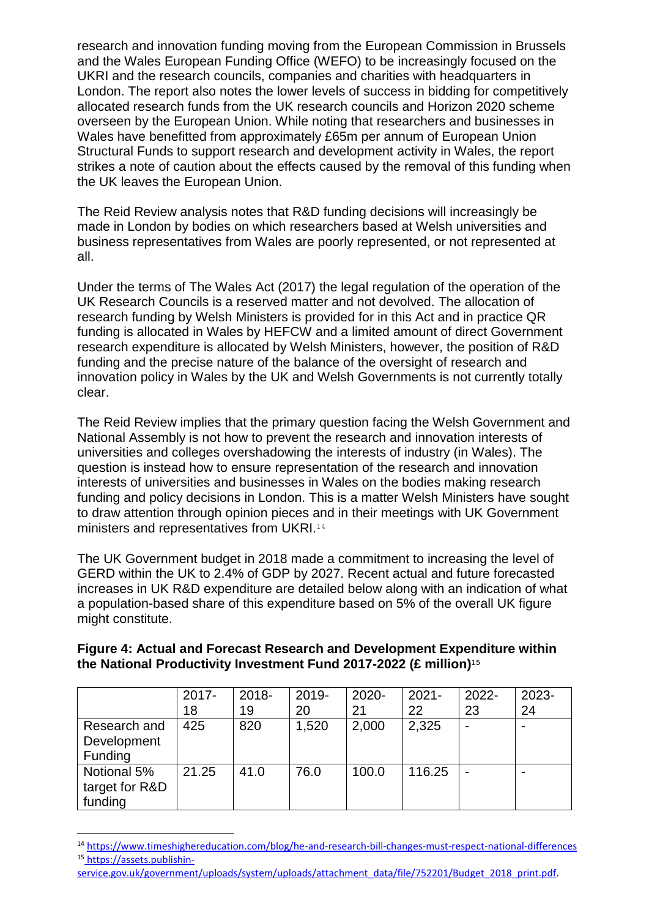research and innovation funding moving from the European Commission in Brussels and the Wales European Funding Office (WEFO) to be increasingly focused on the UKRI and the research councils, companies and charities with headquarters in London. The report also notes the lower levels of success in bidding for competitively allocated research funds from the UK research councils and Horizon 2020 scheme overseen by the European Union. While noting that researchers and businesses in Wales have benefitted from approximately £65m per annum of European Union Structural Funds to support research and development activity in Wales, the report strikes a note of caution about the effects caused by the removal of this funding when the UK leaves the European Union.

The Reid Review analysis notes that R&D funding decisions will increasingly be made in London by bodies on which researchers based at Welsh universities and business representatives from Wales are poorly represented, or not represented at all.

Under the terms of The Wales Act (2017) the legal regulation of the operation of the UK Research Councils is a reserved matter and not devolved. The allocation of research funding by Welsh Ministers is provided for in this Act and in practice QR funding is allocated in Wales by HEFCW and a limited amount of direct Government research expenditure is allocated by Welsh Ministers, however, the position of R&D funding and the precise nature of the balance of the oversight of research and innovation policy in Wales by the UK and Welsh Governments is not currently totally clear.

The Reid Review implies that the primary question facing the Welsh Government and National Assembly is not how to prevent the research and innovation interests of universities and colleges overshadowing the interests of industry (in Wales). The question is instead how to ensure representation of the research and innovation interests of universities and businesses in Wales on the bodies making research funding and policy decisions in London. This is a matter Welsh Ministers have sought to draw attention through opinion pieces and in their meetings with UK Government ministers and representatives from UKRI.<sup>14</sup>

The UK Government budget in 2018 made a commitment to increasing the level of GERD within the UK to 2.4% of GDP by 2027. Recent actual and future forecasted increases in UK R&D expenditure are detailed below along with an indication of what a population-based share of this expenditure based on 5% of the overall UK figure might constitute.

| Figure 4: Actual and Forecast Research and Development Expenditure within     |
|-------------------------------------------------------------------------------|
| the National Productivity Investment Fund 2017-2022 (£ million) <sup>15</sup> |

|                                               | $2017 -$<br>18 | $2018 -$<br>19 | 2019-<br>20 | 2020-<br>21 | $2021 -$<br>22 | 2022-<br>23 | 2023-<br>24 |
|-----------------------------------------------|----------------|----------------|-------------|-------------|----------------|-------------|-------------|
| Research and<br>Development<br><b>Funding</b> | 425            | 820            | 1,520       | 2,000       | 2,325          |             | -           |
| Notional 5%<br>target for R&D<br>funding      | 21.25          | 41.0           | 76.0        | 100.0       | 116.25         |             |             |

<sup>14</sup> <https://www.timeshighereducation.com/blog/he-and-research-bill-changes-must-respect-national-differences> <sup>15</sup> [https://assets.publishin-](https://assets.publishin-service.gov.uk/government/uploads/system/uploads/attachment_data/file/752201/Budget_2018_print.pdf)

[service.gov.uk/government/uploads/system/uploads/attachment\\_data/file/752201/Budget\\_2018\\_print.pdf.](https://assets.publishin-service.gov.uk/government/uploads/system/uploads/attachment_data/file/752201/Budget_2018_print.pdf)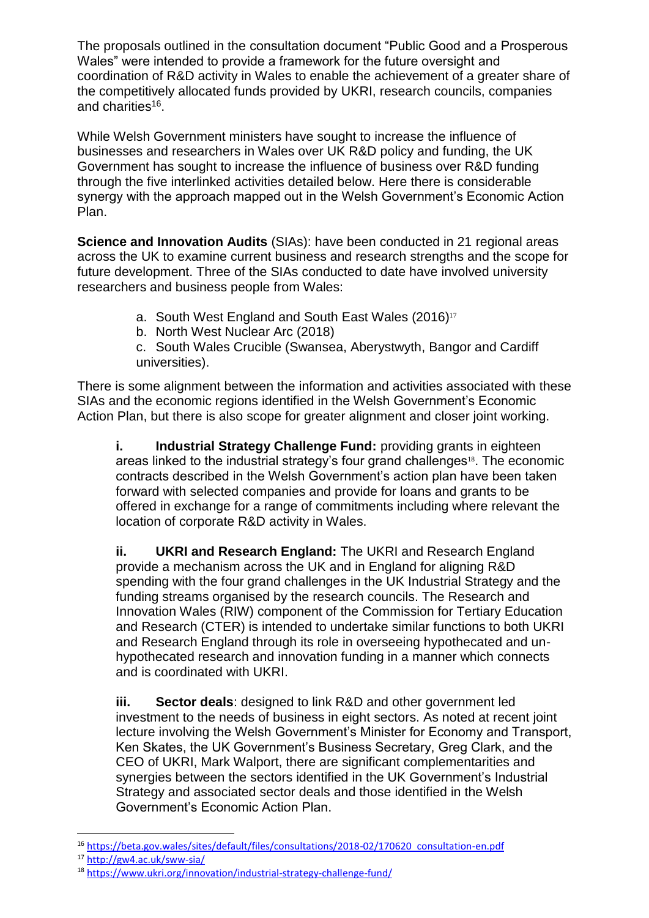The proposals outlined in the consultation document "Public Good and a Prosperous Wales" were intended to provide a framework for the future oversight and coordination of R&D activity in Wales to enable the achievement of a greater share of the competitively allocated funds provided by UKRI, research councils, companies and charities<sup>16</sup>.

While Welsh Government ministers have sought to increase the influence of businesses and researchers in Wales over UK R&D policy and funding, the UK Government has sought to increase the influence of business over R&D funding through the five interlinked activities detailed below. Here there is considerable synergy with the approach mapped out in the Welsh Government's Economic Action Plan.

**Science and Innovation Audits** (SIAs): have been conducted in 21 regional areas across the UK to examine current business and research strengths and the scope for future development. Three of the SIAs conducted to date have involved university researchers and business people from Wales:

a. South West England and South East Wales (2016)<sup>17</sup>

b. North West Nuclear Arc (2018)

c. South Wales Crucible (Swansea, Aberystwyth, Bangor and Cardiff universities).

There is some alignment between the information and activities associated with these SIAs and the economic regions identified in the Welsh Government's Economic Action Plan, but there is also scope for greater alignment and closer joint working.

**i. Industrial Strategy Challenge Fund:** providing grants in eighteen areas linked to the industrial strategy's four grand challenges<sup>18</sup>. The economic contracts described in the Welsh Government's action plan have been taken forward with selected companies and provide for loans and grants to be offered in exchange for a range of commitments including where relevant the location of corporate R&D activity in Wales.

**ii. UKRI and Research England:** The UKRI and Research England provide a mechanism across the UK and in England for aligning R&D spending with the four grand challenges in the UK Industrial Strategy and the funding streams organised by the research councils. The Research and Innovation Wales (RIW) component of the Commission for Tertiary Education and Research (CTER) is intended to undertake similar functions to both UKRI and Research England through its role in overseeing hypothecated and unhypothecated research and innovation funding in a manner which connects and is coordinated with UKRI.

**iii. Sector deals**: designed to link R&D and other government led investment to the needs of business in eight sectors. As noted at recent joint lecture involving the Welsh Government's Minister for Economy and Transport, Ken Skates, the UK Government's Business Secretary, Greg Clark, and the CEO of UKRI, Mark Walport, there are significant complementarities and synergies between the sectors identified in the UK Government's Industrial Strategy and associated sector deals and those identified in the Welsh Government's Economic Action Plan.

<sup>16</sup> [https://beta.gov.wales/sites/default/files/consultations/2018-02/170620\\_consultation-en.pdf](https://beta.gov.wales/sites/default/files/consultations/2018-02/170620_consultation-en.pdf)

<sup>17</sup> <http://gw4.ac.uk/sww-sia/>

<sup>18</sup> <https://www.ukri.org/innovation/industrial-strategy-challenge-fund/>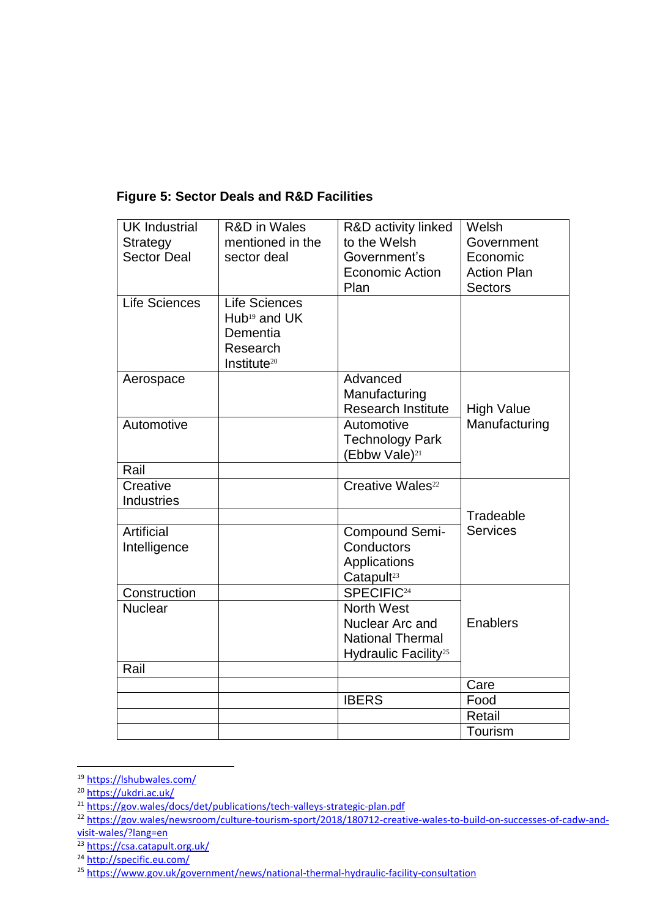| <b>UK Industrial</b><br>Strategy<br><b>Sector Deal</b> | <b>R&amp;D</b> in Wales<br>mentioned in the<br>sector deal                                | R&D activity linked<br>to the Welsh<br>Government's<br><b>Economic Action</b><br>Plan               | Welsh<br>Government<br>Economic<br><b>Action Plan</b><br><b>Sectors</b> |
|--------------------------------------------------------|-------------------------------------------------------------------------------------------|-----------------------------------------------------------------------------------------------------|-------------------------------------------------------------------------|
| <b>Life Sciences</b>                                   | <b>Life Sciences</b><br>$Hub19$ and UK<br>Dementia<br>Research<br>Institute <sup>20</sup> |                                                                                                     |                                                                         |
| Aerospace                                              |                                                                                           | Advanced<br>Manufacturing<br><b>Research Institute</b>                                              | <b>High Value</b>                                                       |
| Automotive                                             |                                                                                           | Automotive<br><b>Technology Park</b><br>(Ebbw Vale) <sup>21</sup>                                   | Manufacturing                                                           |
| Rail                                                   |                                                                                           |                                                                                                     |                                                                         |
| Creative<br><b>Industries</b>                          |                                                                                           | Creative Wales <sup>22</sup>                                                                        |                                                                         |
|                                                        |                                                                                           |                                                                                                     | Tradeable                                                               |
| Artificial<br>Intelligence                             |                                                                                           | Compound Semi-<br>Conductors<br>Applications<br>Catapult <sup>23</sup>                              | <b>Services</b>                                                         |
| Construction                                           |                                                                                           | SPECIFIC <sup>24</sup>                                                                              |                                                                         |
| <b>Nuclear</b>                                         |                                                                                           | <b>North West</b><br>Nuclear Arc and<br><b>National Thermal</b><br>Hydraulic Facility <sup>25</sup> | <b>Enablers</b>                                                         |
| Rail                                                   |                                                                                           |                                                                                                     |                                                                         |
|                                                        |                                                                                           |                                                                                                     | Care                                                                    |
|                                                        |                                                                                           | <b>IBERS</b>                                                                                        | Food                                                                    |
|                                                        |                                                                                           |                                                                                                     | Retail                                                                  |
|                                                        |                                                                                           |                                                                                                     | Tourism                                                                 |

# **Figure 5: Sector Deals and R&D Facilities**

i<br>L

<sup>&</sup>lt;sup>19</sup> <https://lshubwales.com/>

<sup>&</sup>lt;sup>20</sup> <https://ukdri.ac.uk/>

<sup>&</sup>lt;sup>21</sup> <https://gov.wales/docs/det/publications/tech-valleys-strategic-plan.pdf>

<sup>&</sup>lt;sup>22</sup> [https://gov.wales/newsroom/culture-tourism-sport/2018/180712-creative-wales-to-build-on-successes-of-cadw-and](https://gov.wales/newsroom/culture-tourism-sport/2018/180712-creative-wales-to-build-on-successes-of-cadw-and-visit-wales/?lang=en)[visit-wales/?lang=en](https://gov.wales/newsroom/culture-tourism-sport/2018/180712-creative-wales-to-build-on-successes-of-cadw-and-visit-wales/?lang=en)

<sup>23</sup> <https://csa.catapult.org.uk/>

<sup>&</sup>lt;sup>24</sup> <http://specific.eu.com/>

<sup>&</sup>lt;sup>25</sup> <https://www.gov.uk/government/news/national-thermal-hydraulic-facility-consultation>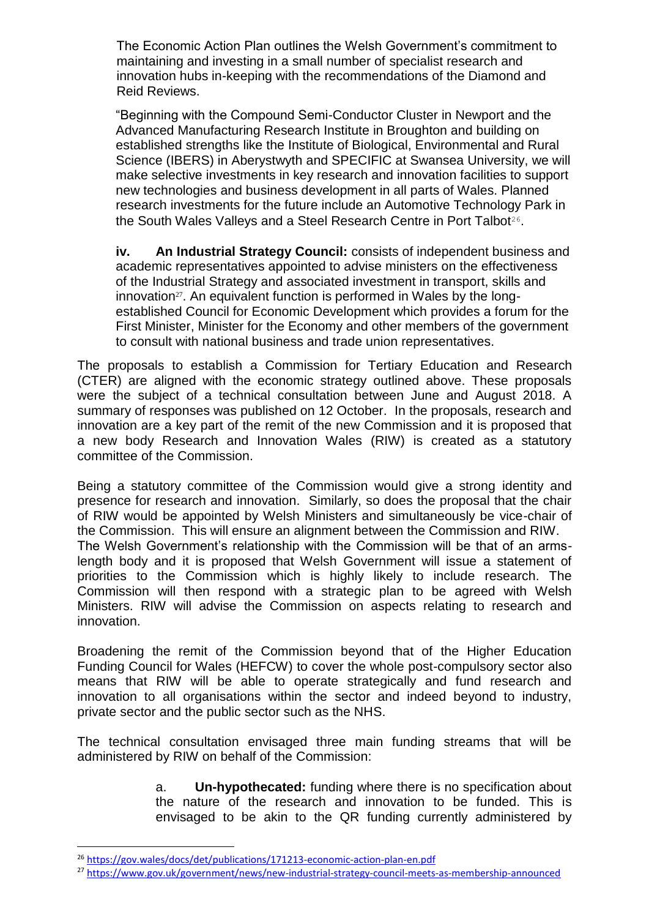The Economic Action Plan outlines the Welsh Government's commitment to maintaining and investing in a small number of specialist research and innovation hubs in-keeping with the recommendations of the Diamond and Reid Reviews.

"Beginning with the Compound Semi-Conductor Cluster in Newport and the Advanced Manufacturing Research Institute in Broughton and building on established strengths like the Institute of Biological, Environmental and Rural Science (IBERS) in Aberystwyth and SPECIFIC at Swansea University, we will make selective investments in key research and innovation facilities to support new technologies and business development in all parts of Wales. Planned research investments for the future include an Automotive Technology Park in the South Wales Valleys and a Steel Research Centre in Port Talbot<sup>26</sup>.

**iv. An Industrial Strategy Council:** consists of independent business and academic representatives appointed to advise ministers on the effectiveness of the Industrial Strategy and associated investment in transport, skills and innovation $27$ . An equivalent function is performed in Wales by the longestablished Council for Economic Development which provides a forum for the First Minister, Minister for the Economy and other members of the government to consult with national business and trade union representatives.

The proposals to establish a Commission for Tertiary Education and Research (CTER) are aligned with the economic strategy outlined above. These proposals were the subject of a technical consultation between June and August 2018. A summary of responses was published on 12 October. In the proposals, research and innovation are a key part of the remit of the new Commission and it is proposed that a new body Research and Innovation Wales (RIW) is created as a statutory committee of the Commission.

Being a statutory committee of the Commission would give a strong identity and presence for research and innovation. Similarly, so does the proposal that the chair of RIW would be appointed by Welsh Ministers and simultaneously be vice-chair of the Commission. This will ensure an alignment between the Commission and RIW. The Welsh Government's relationship with the Commission will be that of an armslength body and it is proposed that Welsh Government will issue a statement of priorities to the Commission which is highly likely to include research. The Commission will then respond with a strategic plan to be agreed with Welsh Ministers. RIW will advise the Commission on aspects relating to research and innovation.

Broadening the remit of the Commission beyond that of the Higher Education Funding Council for Wales (HEFCW) to cover the whole post-compulsory sector also means that RIW will be able to operate strategically and fund research and innovation to all organisations within the sector and indeed beyond to industry, private sector and the public sector such as the NHS.

The technical consultation envisaged three main funding streams that will be administered by RIW on behalf of the Commission:

> a. **Un-hypothecated:** funding where there is no specification about the nature of the research and innovation to be funded. This is envisaged to be akin to the QR funding currently administered by

<sup>26</sup> <https://gov.wales/docs/det/publications/171213-economic-action-plan-en.pdf>

<sup>27</sup> <https://www.gov.uk/government/news/new-industrial-strategy-council-meets-as-membership-announced>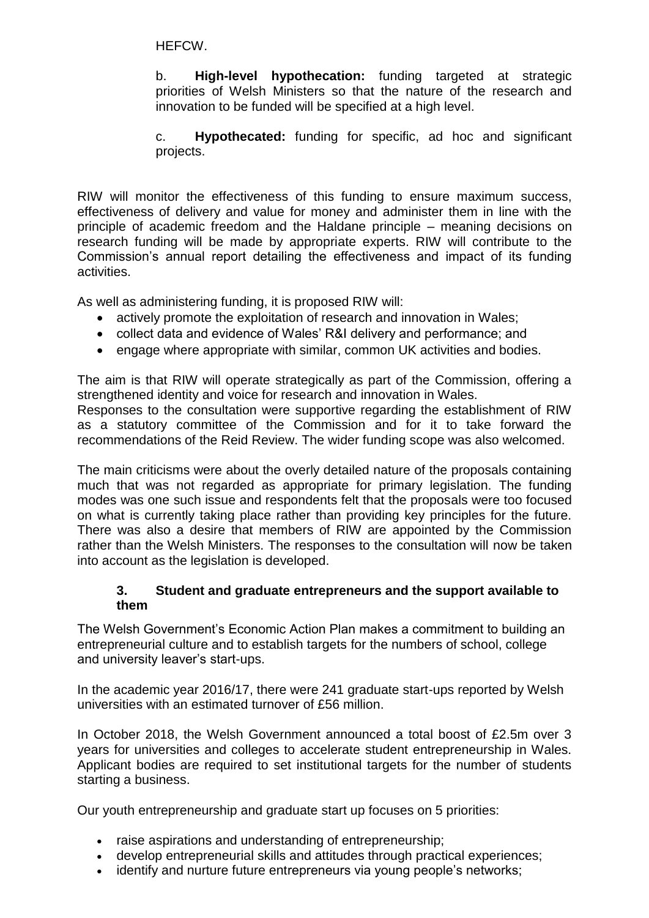HEFCW.

b. **High-level hypothecation:** funding targeted at strategic priorities of Welsh Ministers so that the nature of the research and innovation to be funded will be specified at a high level.

c. **Hypothecated:** funding for specific, ad hoc and significant projects.

RIW will monitor the effectiveness of this funding to ensure maximum success, effectiveness of delivery and value for money and administer them in line with the principle of academic freedom and the Haldane principle – meaning decisions on research funding will be made by appropriate experts. RIW will contribute to the Commission's annual report detailing the effectiveness and impact of its funding activities.

As well as administering funding, it is proposed RIW will:

- actively promote the exploitation of research and innovation in Wales:
- collect data and evidence of Wales' R&I delivery and performance; and
- engage where appropriate with similar, common UK activities and bodies.

The aim is that RIW will operate strategically as part of the Commission, offering a strengthened identity and voice for research and innovation in Wales.

Responses to the consultation were supportive regarding the establishment of RIW as a statutory committee of the Commission and for it to take forward the recommendations of the Reid Review. The wider funding scope was also welcomed.

The main criticisms were about the overly detailed nature of the proposals containing much that was not regarded as appropriate for primary legislation. The funding modes was one such issue and respondents felt that the proposals were too focused on what is currently taking place rather than providing key principles for the future. There was also a desire that members of RIW are appointed by the Commission rather than the Welsh Ministers. The responses to the consultation will now be taken into account as the legislation is developed.

#### **3. Student and graduate entrepreneurs and the support available to them**

The Welsh Government's Economic Action Plan makes a commitment to building an entrepreneurial culture and to establish targets for the numbers of school, college and university leaver's start-ups.

In the academic year 2016/17, there were 241 graduate start-ups reported by Welsh universities with an estimated turnover of £56 million.

In October 2018, the Welsh Government announced a total boost of £2.5m over 3 years for universities and colleges to accelerate student entrepreneurship in Wales. Applicant bodies are required to set institutional targets for the number of students starting a business.

Our youth entrepreneurship and graduate start up focuses on 5 priorities:

- raise aspirations and understanding of entrepreneurship;
- develop entrepreneurial skills and attitudes through practical experiences;
- identify and nurture future entrepreneurs via young people's networks;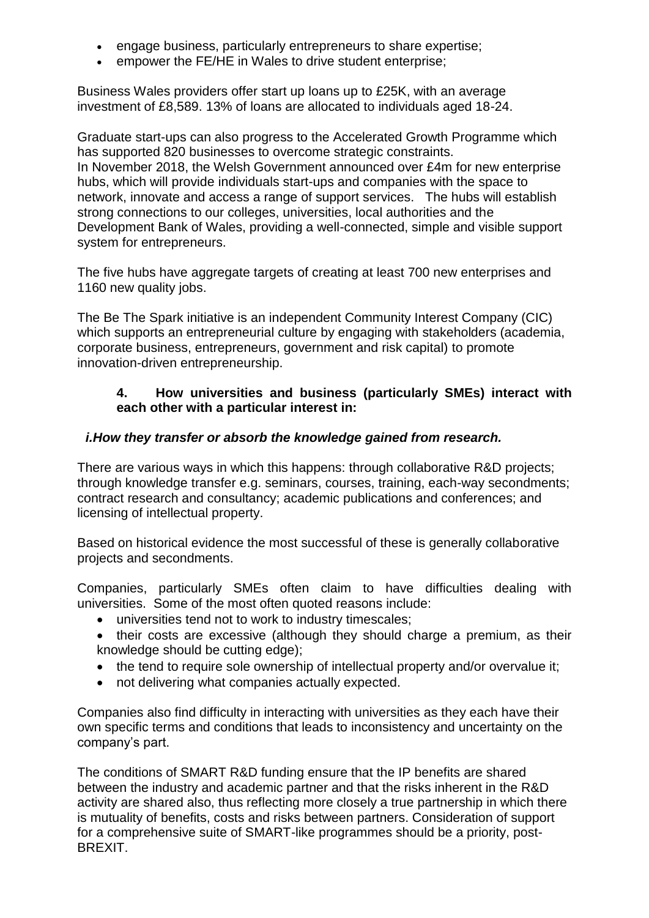- engage business, particularly entrepreneurs to share expertise;
- empower the FE/HE in Wales to drive student enterprise;

Business Wales providers offer start up loans up to £25K, with an average investment of £8,589. 13% of loans are allocated to individuals aged 18-24.

Graduate start-ups can also progress to the Accelerated Growth Programme which has supported 820 businesses to overcome strategic constraints. In November 2018, the Welsh Government announced over £4m for new enterprise hubs, which will provide individuals start-ups and companies with the space to network, innovate and access a range of support services. The hubs will establish strong connections to our colleges, universities, local authorities and the Development Bank of Wales, providing a well-connected, simple and visible support system for entrepreneurs.

The five hubs have aggregate targets of creating at least 700 new enterprises and 1160 new quality jobs.

The Be The Spark initiative is an independent Community Interest Company (CIC) which supports an entrepreneurial culture by engaging with stakeholders (academia, corporate business, entrepreneurs, government and risk capital) to promote innovation-driven entrepreneurship.

#### **4. How universities and business (particularly SMEs) interact with each other with a particular interest in:**

## *i.How they transfer or absorb the knowledge gained from research.*

There are various ways in which this happens: through collaborative R&D projects; through knowledge transfer e.g. seminars, courses, training, each-way secondments; contract research and consultancy; academic publications and conferences; and licensing of intellectual property.

Based on historical evidence the most successful of these is generally collaborative projects and secondments.

Companies, particularly SMEs often claim to have difficulties dealing with universities. Some of the most often quoted reasons include:

- universities tend not to work to industry timescales;
- their costs are excessive (although they should charge a premium, as their knowledge should be cutting edge);
- the tend to require sole ownership of intellectual property and/or overvalue it;
- not delivering what companies actually expected.

Companies also find difficulty in interacting with universities as they each have their own specific terms and conditions that leads to inconsistency and uncertainty on the company's part.

The conditions of SMART R&D funding ensure that the IP benefits are shared between the industry and academic partner and that the risks inherent in the R&D activity are shared also, thus reflecting more closely a true partnership in which there is mutuality of benefits, costs and risks between partners. Consideration of support for a comprehensive suite of SMART-like programmes should be a priority, post-BREXIT.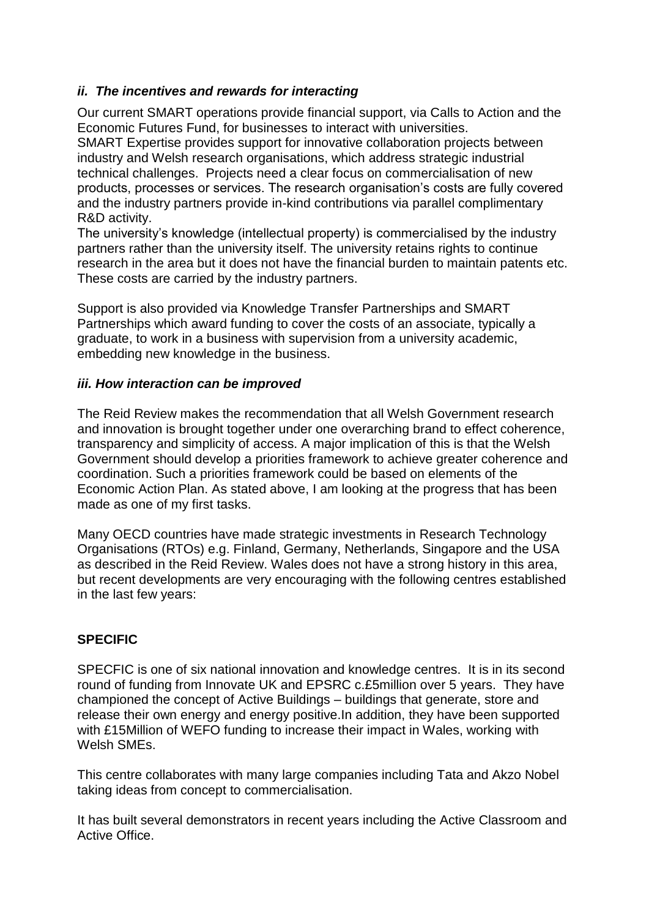## *ii. The incentives and rewards for interacting*

Our current SMART operations provide financial support, via Calls to Action and the Economic Futures Fund, for businesses to interact with universities.

SMART Expertise provides support for innovative collaboration projects between industry and Welsh research organisations, which address strategic industrial technical challenges. Projects need a clear focus on commercialisation of new products, processes or services. The research organisation's costs are fully covered and the industry partners provide in-kind contributions via parallel complimentary R&D activity.

The university's knowledge (intellectual property) is commercialised by the industry partners rather than the university itself. The university retains rights to continue research in the area but it does not have the financial burden to maintain patents etc. These costs are carried by the industry partners.

Support is also provided via Knowledge Transfer Partnerships and SMART Partnerships which award funding to cover the costs of an associate, typically a graduate, to work in a business with supervision from a university academic, embedding new knowledge in the business.

#### *iii. How interaction can be improved*

The Reid Review makes the recommendation that all Welsh Government research and innovation is brought together under one overarching brand to effect coherence, transparency and simplicity of access. A major implication of this is that the Welsh Government should develop a priorities framework to achieve greater coherence and coordination. Such a priorities framework could be based on elements of the Economic Action Plan. As stated above, I am looking at the progress that has been made as one of my first tasks.

Many OECD countries have made strategic investments in Research Technology Organisations (RTOs) e.g. Finland, Germany, Netherlands, Singapore and the USA as described in the Reid Review. Wales does not have a strong history in this area, but recent developments are very encouraging with the following centres established in the last few years:

## **SPECIFIC**

SPECFIC is one of six national innovation and knowledge centres. It is in its second round of funding from Innovate UK and EPSRC c.£5million over 5 years. They have championed the concept of Active Buildings – buildings that generate, store and release their own energy and energy positive.In addition, they have been supported with £15Million of WEFO funding to increase their impact in Wales, working with Welsh SMEs.

This centre collaborates with many large companies including Tata and Akzo Nobel taking ideas from concept to commercialisation.

It has built several demonstrators in recent years including the Active Classroom and Active Office.